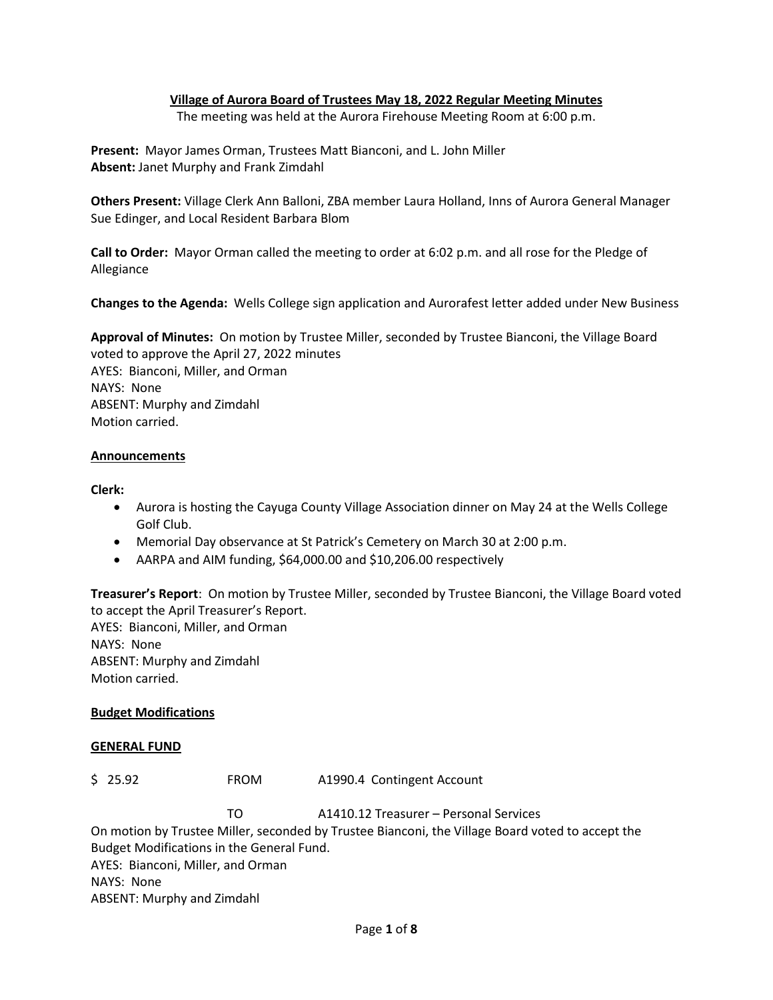## **Village of Aurora Board of Trustees May 18, 2022 Regular Meeting Minutes**

The meeting was held at the Aurora Firehouse Meeting Room at 6:00 p.m.

**Present:** Mayor James Orman, Trustees Matt Bianconi, and L. John Miller **Absent:** Janet Murphy and Frank Zimdahl

**Others Present:** Village Clerk Ann Balloni, ZBA member Laura Holland, Inns of Aurora General Manager Sue Edinger, and Local Resident Barbara Blom

**Call to Order:** Mayor Orman called the meeting to order at 6:02 p.m. and all rose for the Pledge of Allegiance

**Changes to the Agenda:** Wells College sign application and Aurorafest letter added under New Business

**Approval of Minutes:** On motion by Trustee Miller, seconded by Trustee Bianconi, the Village Board voted to approve the April 27, 2022 minutes AYES: Bianconi, Miller, and Orman NAYS: None ABSENT: Murphy and Zimdahl Motion carried.

### **Announcements**

#### **Clerk:**

- Aurora is hosting the Cayuga County Village Association dinner on May 24 at the Wells College Golf Club.
- Memorial Day observance at St Patrick's Cemetery on March 30 at 2:00 p.m.
- AARPA and AIM funding, \$64,000.00 and \$10,206.00 respectively

**Treasurer's Report**: On motion by Trustee Miller, seconded by Trustee Bianconi, the Village Board voted to accept the April Treasurer's Report. AYES: Bianconi, Miller, and Orman NAYS: None ABSENT: Murphy and Zimdahl Motion carried.

### **Budget Modifications**

#### **GENERAL FUND**

\$ 25.92 FROM A1990.4 Contingent Account

TO A1410.12 Treasurer – Personal Services On motion by Trustee Miller, seconded by Trustee Bianconi, the Village Board voted to accept the Budget Modifications in the General Fund. AYES: Bianconi, Miller, and Orman NAYS: None ABSENT: Murphy and Zimdahl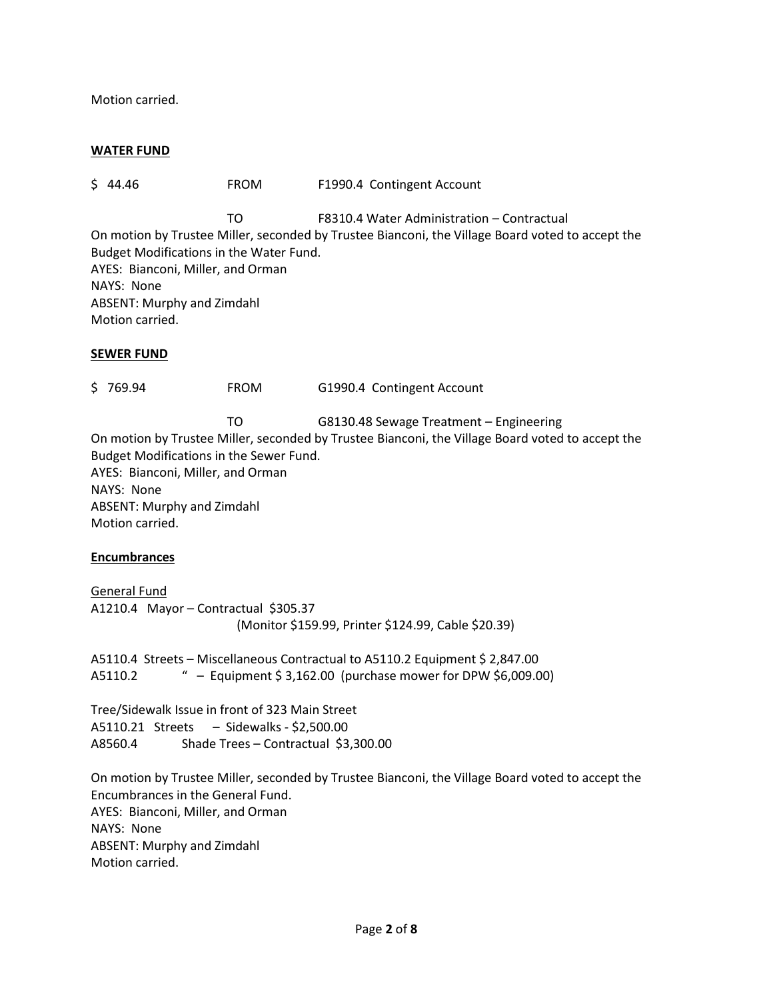Motion carried.

#### **WATER FUND**

\$ 44.46 FROM F1990.4 Contingent Account

TO F8310.4 Water Administration – Contractual

On motion by Trustee Miller, seconded by Trustee Bianconi, the Village Board voted to accept the Budget Modifications in the Water Fund. AYES: Bianconi, Miller, and Orman NAYS: None ABSENT: Murphy and Zimdahl Motion carried.

### **SEWER FUND**

\$ 769.94 FROM G1990.4 Contingent Account

TO G8130.48 Sewage Treatment – Engineering On motion by Trustee Miller, seconded by Trustee Bianconi, the Village Board voted to accept the Budget Modifications in the Sewer Fund. AYES: Bianconi, Miller, and Orman NAYS: None ABSENT: Murphy and Zimdahl Motion carried.

### **Encumbrances**

General Fund A1210.4 Mayor – Contractual \$305.37 (Monitor \$159.99, Printer \$124.99, Cable \$20.39)

A5110.4 Streets – Miscellaneous Contractual to A5110.2 Equipment \$ 2,847.00 A5110.2 " – Equipment \$ 3,162.00 (purchase mower for DPW \$6,009.00)

Tree/Sidewalk Issue in front of 323 Main Street A5110.21 Streets – Sidewalks - \$2,500.00 A8560.4 Shade Trees – Contractual \$3,300.00

On motion by Trustee Miller, seconded by Trustee Bianconi, the Village Board voted to accept the Encumbrances in the General Fund. AYES: Bianconi, Miller, and Orman NAYS: None ABSENT: Murphy and Zimdahl Motion carried.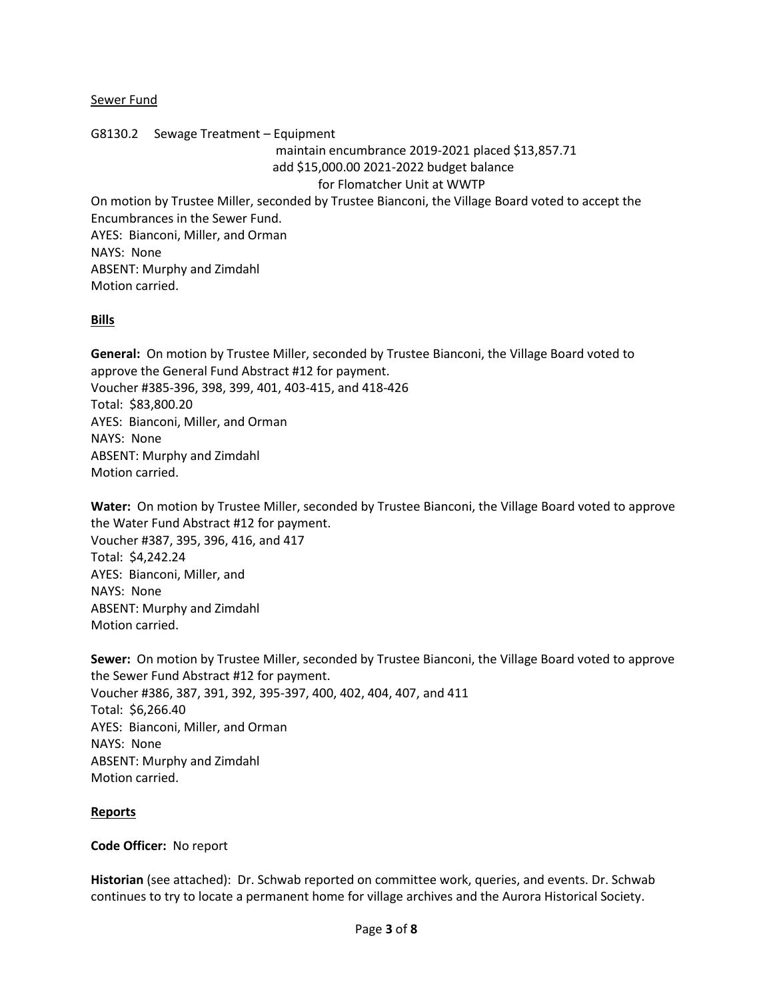#### Sewer Fund

### G8130.2 Sewage Treatment – Equipment

maintain encumbrance 2019-2021 placed \$13,857.71 add \$15,000.00 2021-2022 budget balance

### for Flomatcher Unit at WWTP

On motion by Trustee Miller, seconded by Trustee Bianconi, the Village Board voted to accept the Encumbrances in the Sewer Fund. AYES: Bianconi, Miller, and Orman NAYS: None

ABSENT: Murphy and Zimdahl Motion carried.

### **Bills**

**General:** On motion by Trustee Miller, seconded by Trustee Bianconi, the Village Board voted to approve the General Fund Abstract #12 for payment. Voucher #385-396, 398, 399, 401, 403-415, and 418-426 Total: \$83,800.20 AYES: Bianconi, Miller, and Orman NAYS: None ABSENT: Murphy and Zimdahl Motion carried.

**Water:** On motion by Trustee Miller, seconded by Trustee Bianconi, the Village Board voted to approve the Water Fund Abstract #12 for payment. Voucher #387, 395, 396, 416, and 417 Total: \$4,242.24 AYES: Bianconi, Miller, and NAYS: None ABSENT: Murphy and Zimdahl Motion carried.

**Sewer:** On motion by Trustee Miller, seconded by Trustee Bianconi, the Village Board voted to approve the Sewer Fund Abstract #12 for payment. Voucher #386, 387, 391, 392, 395-397, 400, 402, 404, 407, and 411 Total: \$6,266.40 AYES: Bianconi, Miller, and Orman NAYS: None ABSENT: Murphy and Zimdahl Motion carried.

### **Reports**

### **Code Officer:** No report

**Historian** (see attached): Dr. Schwab reported on committee work, queries, and events. Dr. Schwab continues to try to locate a permanent home for village archives and the Aurora Historical Society.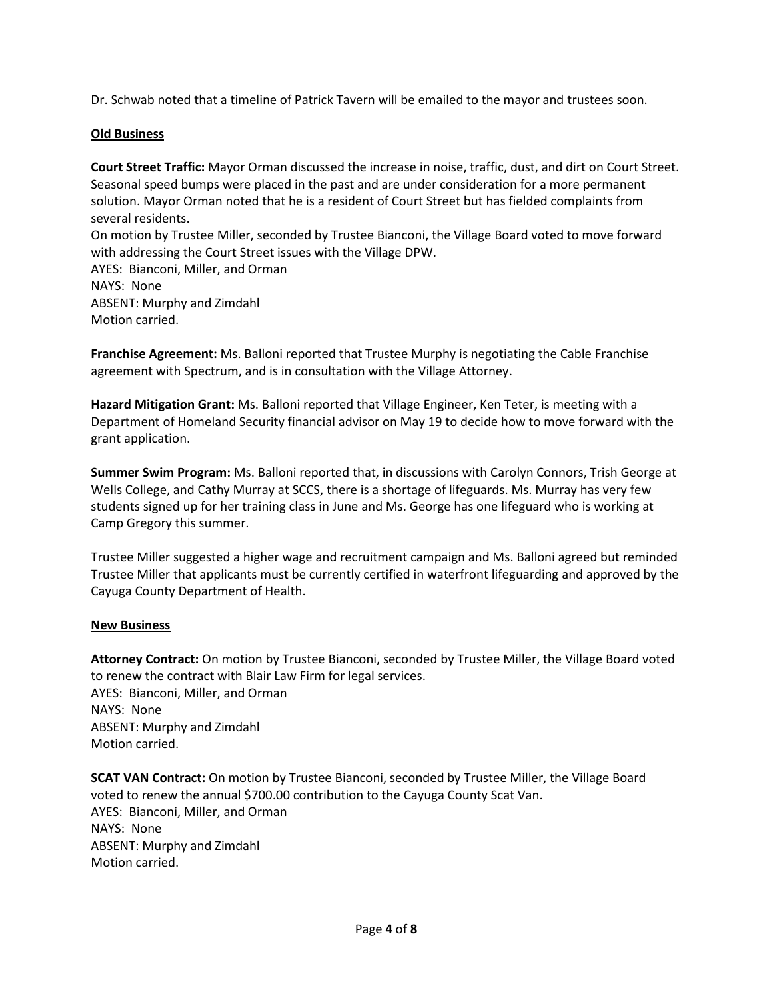Dr. Schwab noted that a timeline of Patrick Tavern will be emailed to the mayor and trustees soon.

## **Old Business**

**Court Street Traffic:** Mayor Orman discussed the increase in noise, traffic, dust, and dirt on Court Street. Seasonal speed bumps were placed in the past and are under consideration for a more permanent solution. Mayor Orman noted that he is a resident of Court Street but has fielded complaints from several residents. On motion by Trustee Miller, seconded by Trustee Bianconi, the Village Board voted to move forward with addressing the Court Street issues with the Village DPW. AYES: Bianconi, Miller, and Orman NAYS: None ABSENT: Murphy and Zimdahl

Motion carried.

**Franchise Agreement:** Ms. Balloni reported that Trustee Murphy is negotiating the Cable Franchise agreement with Spectrum, and is in consultation with the Village Attorney.

**Hazard Mitigation Grant:** Ms. Balloni reported that Village Engineer, Ken Teter, is meeting with a Department of Homeland Security financial advisor on May 19 to decide how to move forward with the grant application.

**Summer Swim Program:** Ms. Balloni reported that, in discussions with Carolyn Connors, Trish George at Wells College, and Cathy Murray at SCCS, there is a shortage of lifeguards. Ms. Murray has very few students signed up for her training class in June and Ms. George has one lifeguard who is working at Camp Gregory this summer.

Trustee Miller suggested a higher wage and recruitment campaign and Ms. Balloni agreed but reminded Trustee Miller that applicants must be currently certified in waterfront lifeguarding and approved by the Cayuga County Department of Health.

### **New Business**

**Attorney Contract:** On motion by Trustee Bianconi, seconded by Trustee Miller, the Village Board voted to renew the contract with Blair Law Firm for legal services. AYES: Bianconi, Miller, and Orman NAYS: None ABSENT: Murphy and Zimdahl Motion carried.

**SCAT VAN Contract:** On motion by Trustee Bianconi, seconded by Trustee Miller, the Village Board voted to renew the annual \$700.00 contribution to the Cayuga County Scat Van. AYES: Bianconi, Miller, and Orman NAYS: None ABSENT: Murphy and Zimdahl Motion carried.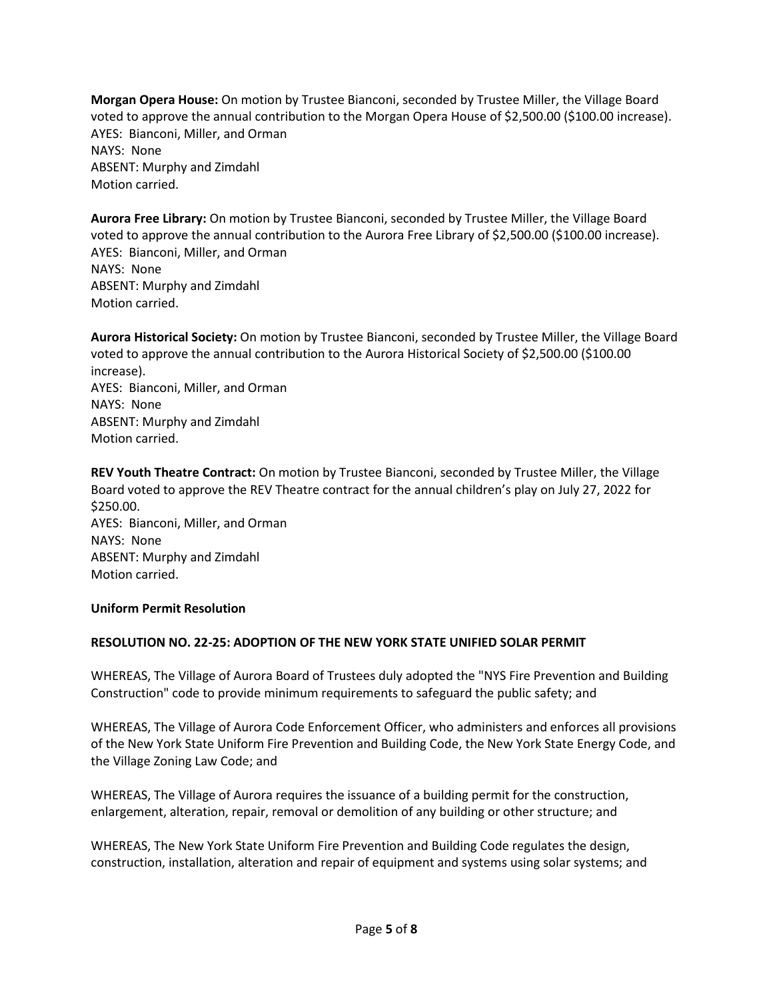**Morgan Opera House:** On motion by Trustee Bianconi, seconded by Trustee Miller, the Village Board voted to approve the annual contribution to the Morgan Opera House of \$2,500.00 (\$100.00 increase). AYES: Bianconi, Miller, and Orman NAYS: None ABSENT: Murphy and Zimdahl Motion carried.

**Aurora Free Library:** On motion by Trustee Bianconi, seconded by Trustee Miller, the Village Board voted to approve the annual contribution to the Aurora Free Library of \$2,500.00 (\$100.00 increase). AYES: Bianconi, Miller, and Orman NAYS: None ABSENT: Murphy and Zimdahl Motion carried.

**Aurora Historical Society:** On motion by Trustee Bianconi, seconded by Trustee Miller, the Village Board voted to approve the annual contribution to the Aurora Historical Society of \$2,500.00 (\$100.00 increase). AYES: Bianconi, Miller, and Orman NAYS: None ABSENT: Murphy and Zimdahl Motion carried.

**REV Youth Theatre Contract:** On motion by Trustee Bianconi, seconded by Trustee Miller, the Village Board voted to approve the REV Theatre contract for the annual children's play on July 27, 2022 for \$250.00. AYES: Bianconi, Miller, and Orman NAYS: None ABSENT: Murphy and Zimdahl Motion carried.

### **Uniform Permit Resolution**

### **RESOLUTION NO. 22-25: ADOPTION OF THE NEW YORK STATE UNIFIED SOLAR PERMIT**

WHEREAS, The Village of Aurora Board of Trustees duly adopted the "NYS Fire Prevention and Building Construction" code to provide minimum requirements to safeguard the public safety; and

WHEREAS, The Village of Aurora Code Enforcement Officer, who administers and enforces all provisions of the New York State Uniform Fire Prevention and Building Code, the New York State Energy Code, and the Village Zoning Law Code; and

WHEREAS, The Village of Aurora requires the issuance of a building permit for the construction, enlargement, alteration, repair, removal or demolition of any building or other structure; and

WHEREAS, The New York State Uniform Fire Prevention and Building Code regulates the design, construction, installation, alteration and repair of equipment and systems using solar systems; and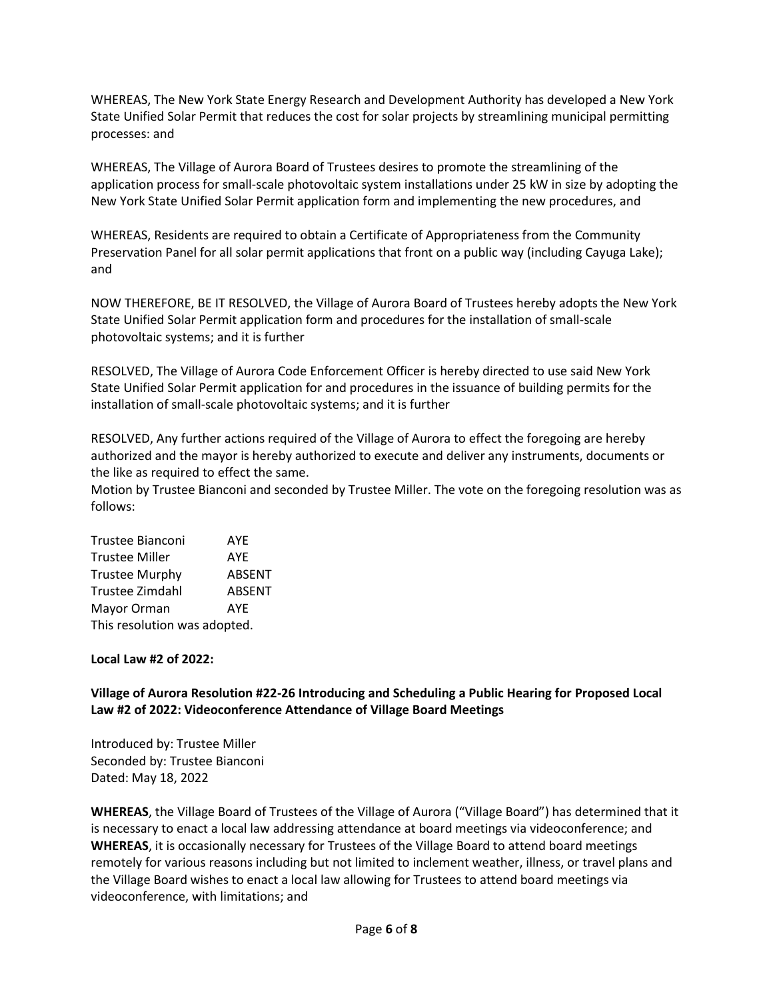WHEREAS, The New York State Energy Research and Development Authority has developed a New York State Unified Solar Permit that reduces the cost for solar projects by streamlining municipal permitting processes: and

WHEREAS, The Village of Aurora Board of Trustees desires to promote the streamlining of the application process for small-scale photovoltaic system installations under 25 kW in size by adopting the New York State Unified Solar Permit application form and implementing the new procedures, and

WHEREAS, Residents are required to obtain a Certificate of Appropriateness from the Community Preservation Panel for all solar permit applications that front on a public way (including Cayuga Lake); and

NOW THEREFORE, BE IT RESOLVED, the Village of Aurora Board of Trustees hereby adopts the New York State Unified Solar Permit application form and procedures for the installation of small-scale photovoltaic systems; and it is further

RESOLVED, The Village of Aurora Code Enforcement Officer is hereby directed to use said New York State Unified Solar Permit application for and procedures in the issuance of building permits for the installation of small-scale photovoltaic systems; and it is further

RESOLVED, Any further actions required of the Village of Aurora to effect the foregoing are hereby authorized and the mayor is hereby authorized to execute and deliver any instruments, documents or the like as required to effect the same.

Motion by Trustee Bianconi and seconded by Trustee Miller. The vote on the foregoing resolution was as follows:

| <b>Trustee Bianconi</b>      | AYE           |
|------------------------------|---------------|
| <b>Trustee Miller</b>        | <b>AYE</b>    |
| <b>Trustee Murphy</b>        | <b>ABSENT</b> |
| <b>Trustee Zimdahl</b>       | <b>ABSENT</b> |
| Mayor Orman                  | AYF           |
| This resolution was adopted. |               |

### **Local Law #2 of 2022:**

# **Village of Aurora Resolution #22-26 Introducing and Scheduling a Public Hearing for Proposed Local Law #2 of 2022: Videoconference Attendance of Village Board Meetings**

Introduced by: Trustee Miller Seconded by: Trustee Bianconi Dated: May 18, 2022

**WHEREAS**, the Village Board of Trustees of the Village of Aurora ("Village Board") has determined that it is necessary to enact a local law addressing attendance at board meetings via videoconference; and **WHEREAS**, it is occasionally necessary for Trustees of the Village Board to attend board meetings remotely for various reasons including but not limited to inclement weather, illness, or travel plans and the Village Board wishes to enact a local law allowing for Trustees to attend board meetings via videoconference, with limitations; and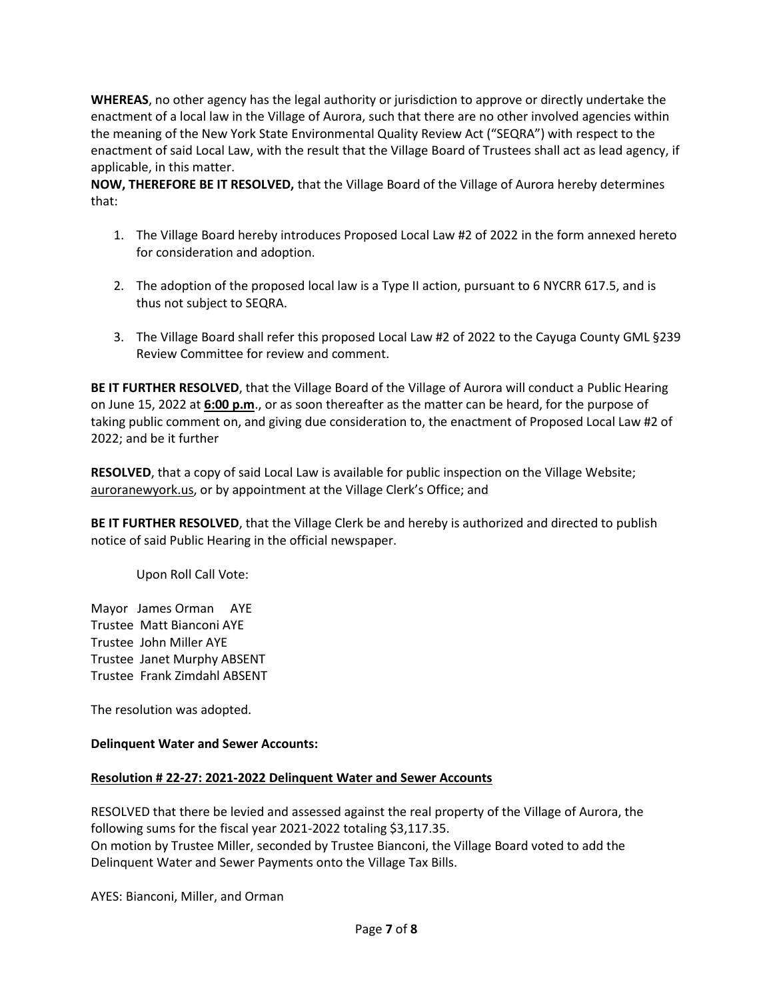**WHEREAS**, no other agency has the legal authority or jurisdiction to approve or directly undertake the enactment of a local law in the Village of Aurora, such that there are no other involved agencies within the meaning of the New York State Environmental Quality Review Act ("SEQRA") with respect to the enactment of said Local Law, with the result that the Village Board of Trustees shall act as lead agency, if applicable, in this matter.

**NOW, THEREFORE BE IT RESOLVED,** that the Village Board of the Village of Aurora hereby determines that:

- 1. The Village Board hereby introduces Proposed Local Law #2 of 2022 in the form annexed hereto for consideration and adoption.
- 2. The adoption of the proposed local law is a Type II action, pursuant to 6 NYCRR 617.5, and is thus not subject to SEQRA.
- 3. The Village Board shall refer this proposed Local Law #2 of 2022 to the Cayuga County GML §239 Review Committee for review and comment.

**BE IT FURTHER RESOLVED**, that the Village Board of the Village of Aurora will conduct a Public Hearing on June 15, 2022 at **6:00 p.m**., or as soon thereafter as the matter can be heard, for the purpose of taking public comment on, and giving due consideration to, the enactment of Proposed Local Law #2 of 2022; and be it further

**RESOLVED**, that a copy of said Local Law is available for public inspection on the Village Website; auroranewyork.us, or by appointment at the Village Clerk's Office; and

**BE IT FURTHER RESOLVED**, that the Village Clerk be and hereby is authorized and directed to publish notice of said Public Hearing in the official newspaper.

Upon Roll Call Vote:

Mayor James Orman AYE Trustee Matt Bianconi AYE Trustee John Miller AYE Trustee Janet Murphy ABSENT Trustee Frank Zimdahl ABSENT

The resolution was adopted.

### **Delinquent Water and Sewer Accounts:**

### **Resolution # 22-27: 2021-2022 Delinquent Water and Sewer Accounts**

RESOLVED that there be levied and assessed against the real property of the Village of Aurora, the following sums for the fiscal year 2021-2022 totaling \$3,117.35. On motion by Trustee Miller, seconded by Trustee Bianconi, the Village Board voted to add the Delinquent Water and Sewer Payments onto the Village Tax Bills.

AYES: Bianconi, Miller, and Orman